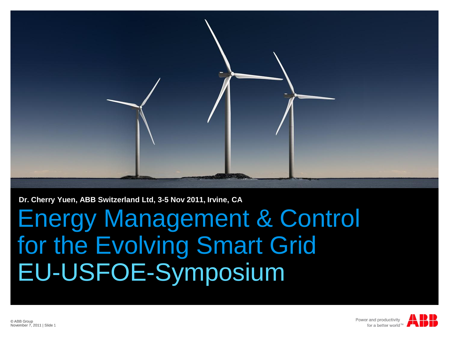

**Dr. Cherry Yuen, ABB Switzerland Ltd, 3-5 Nov 2011, Irvine, CA**

Energy Management & Control for the Evolving Smart Grid EU-USFOE-Symposium

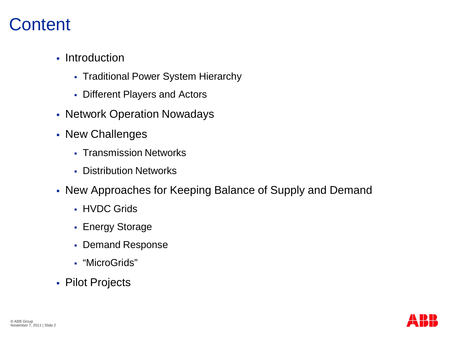#### **Content**

- Introduction
	- Traditional Power System Hierarchy
	- Different Players and Actors
- Network Operation Nowadays
- New Challenges
	- **Transmission Networks**
	- **Distribution Networks**
- New Approaches for Keeping Balance of Supply and Demand
	- **HVDC Grids**
	- **Energy Storage**
	- Demand Response
	- "MicroGrids"
- Pilot Projects

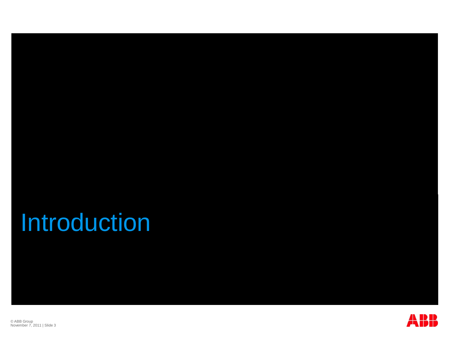### Introduction



© ABB Group<br>November 7, 2011 | Slide 3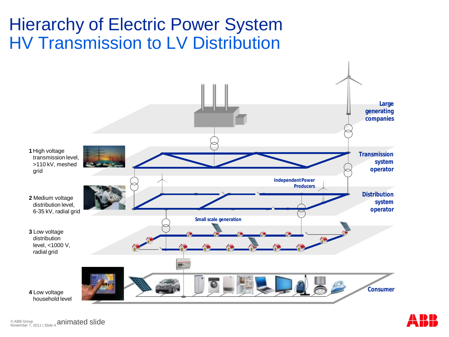#### Hierarchy of Electric Power System HV Transmission to LV Distribution





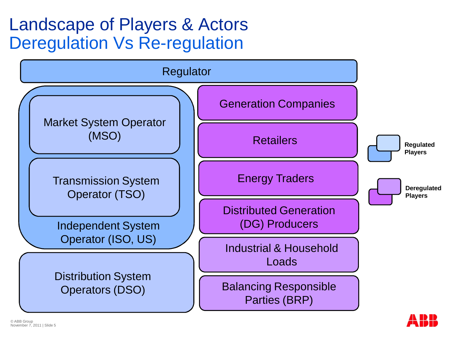### Landscape of Players & Actors Deregulation Vs Re-regulation



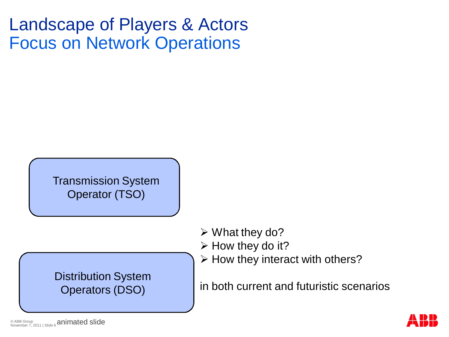#### Landscape of Players & Actors Focus on Network Operations

Transmission System Operator (TSO)

Distribution System Operators (DSO)

 $\triangleright$  What they do?

- $\triangleright$  How they do it?
- $\triangleright$  How they interact with others?

in both current and futuristic scenarios

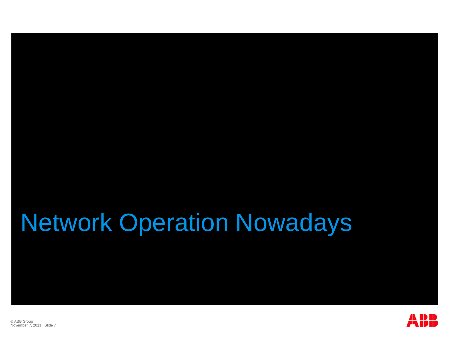### Network Operation Nowadays

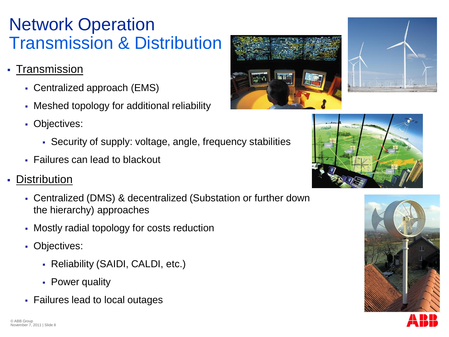#### Network Operation Transmission & Distribution

- · Transmission
	- Centralized approach (EMS)
	- Meshed topology for additional reliability
	- **Objectives:** 
		- Security of supply: voltage, angle, frequency stabilities
	- Failures can lead to blackout

#### **Distribution**

- Centralized (DMS) & decentralized (Substation or further down the hierarchy) approaches
- Mostly radial topology for costs reduction
- Objectives:
	- Reliability (SAIDI, CALDI, etc.)
	- Power quality
- Failures lead to local outages







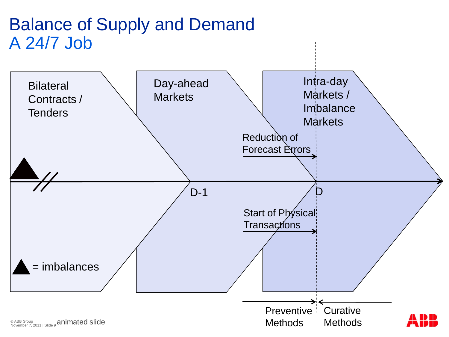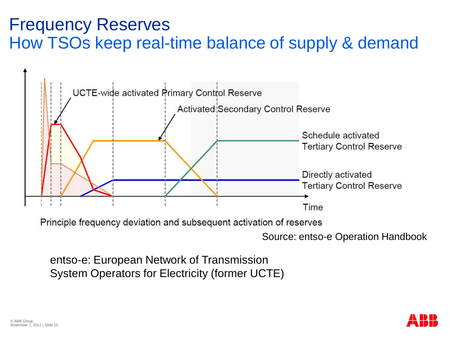#### Frequency Reserves How TSOs keep real-time balance of supply & demand



Principle frequency deviation and subsequent activation of reserves

Source: entso-e Operation Handbook

entso-e: European Network of Transmission System Operators for Electricity (former UCTE)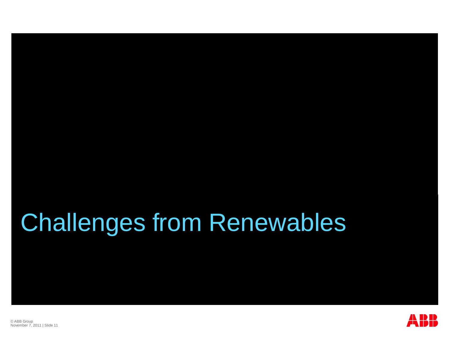## Challenges from Renewables

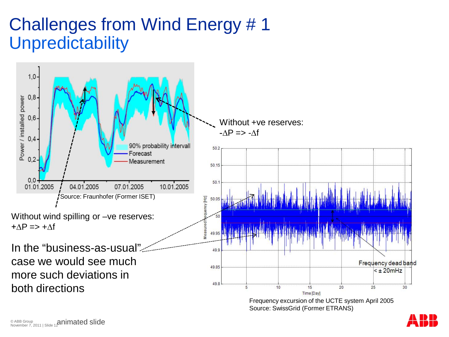#### Challenges from Wind Energy # 1 **Unpredictability**



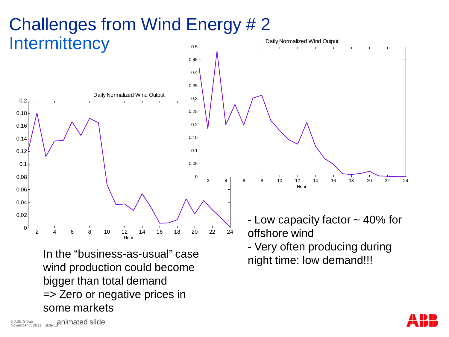#### Challenges from Wind Energy # 2 **Intermittency** 0.5 Daily Normalized Wind Output



night time: low demand!!! In the "business-as-usual" case wind production could become bigger than total demand => Zero or negative prices in some markets

- Very often producing during

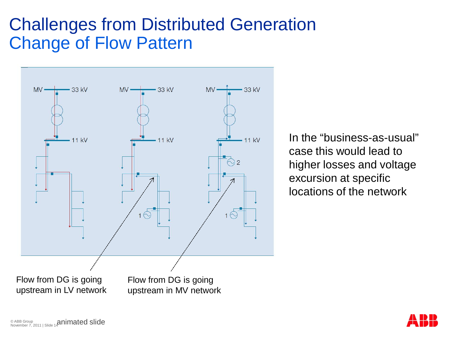#### Challenges from Distributed Generation Change of Flow Pattern



In the "business-as-usual" case this would lead to higher losses and voltage excursion at specific locations of the network

© ABB Group<br>November 7, 2011 | Slide 14**Animated Slide** 

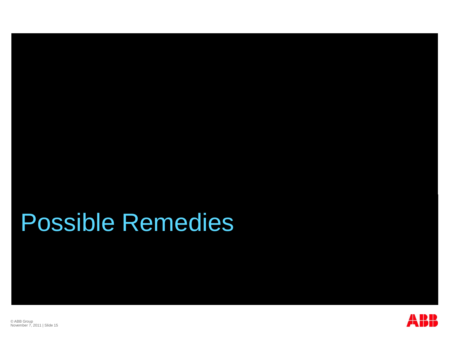## Possible Remedies

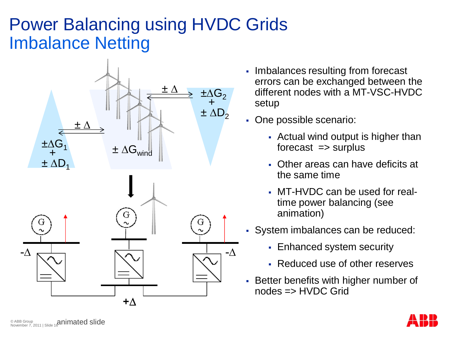### Power Balancing using HVDC Grids Imbalance Netting



- Imbalances resulting from forecast errors can be exchanged between the different nodes with a MT-VSC-HVDC setup
- One possible scenario:
	- Actual wind output is higher than  $f$ orecast  $\Rightarrow$  surplus
	- Other areas can have deficits at the same time
	- MT-HVDC can be used for realtime power balancing (see animation)
- System imbalances can be reduced:
	- **Enhanced system security**
	- Reduced use of other reserves
- **Better benefits with higher number of** nodes => HVDC Grid

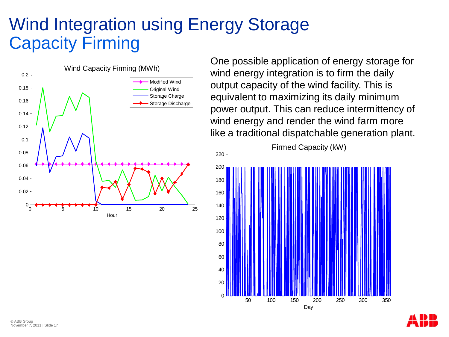#### Wind Integration using Energy Storage Capacity Firming



One possible application of energy storage for wind energy integration is to firm the daily output capacity of the wind facility. This is equivalent to maximizing its daily minimum power output. This can reduce intermittency of wind energy and render the wind farm more like a traditional dispatchable generation plant.

Firmed Capacity (kW)



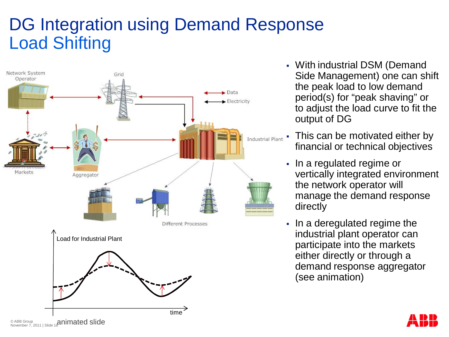### DG Integration using Demand Response Load Shifting



- With industrial DSM (Demand Side Management) one can shift the peak load to low demand period(s) for "peak shaving" or to adjust the load curve to fit the output of DG
- This can be motivated either by financial or technical objectives
- In a regulated regime or vertically integrated environment the network operator will manage the demand response directly
- In a deregulated regime the industrial plant operator can participate into the markets either directly or through a demand response aggregator (see animation)

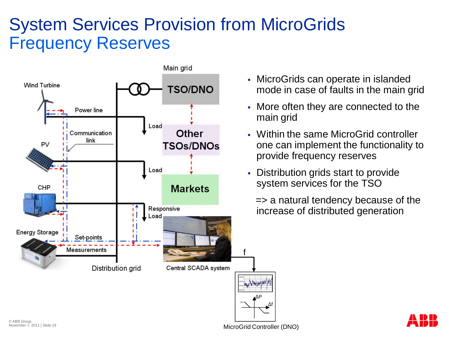#### System Services Provision from MicroGrids Frequency Reserves



- MicroGrids can operate in islanded mode in case of faults in the main grid
- More often they are connected to the main grid
- Within the same MicroGrid controller one can implement the functionality to provide frequency reserves
- Distribution grids start to provide system services for the TSO

=> a natural tendency because of the increase of distributed generation

MicroGrid Controller (DNO)

ΔP

ǻf

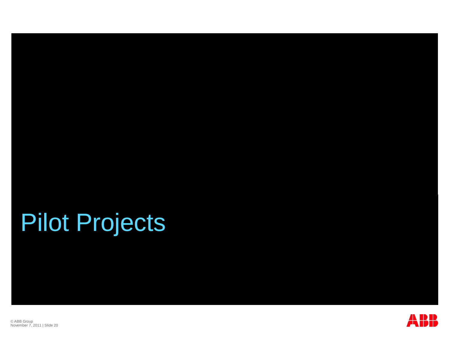# Pilot Projects



© ABB Group November 7, 2011 | Slide 20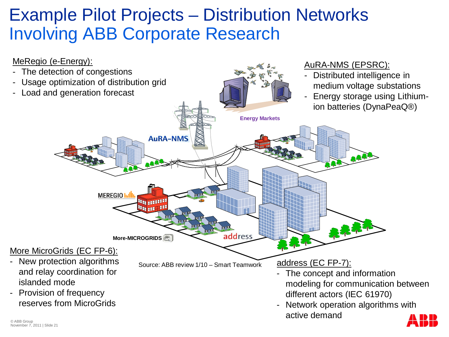### Example Pilot Projects – Distribution Networks Involving ABB Corporate Research

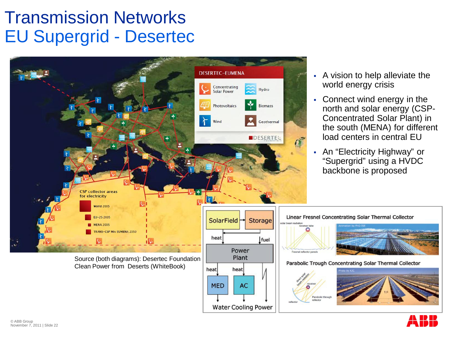#### Transmission Networks EU Supergrid - Desertec



- A vision to help alleviate the world energy crisis
- Connect wind energy in the north and solar energy (CSP-Concentrated Solar Plant) in the south (MENA) for different load centers in central EU
- An "Electricity Highway" or "Supergrid" using a HVDC backbone is proposed

Parabolic through

**Water Cooling Power**